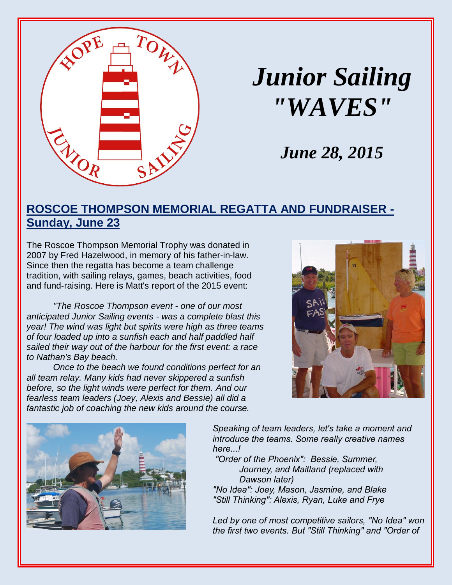

# *Junior Sailing "WAVES"*

# *June 28, 2015*

### **ROSCOE THOMPSON MEMORIAL REGATTA AND FUNDRAISER - Sunday, June 23**

The Roscoe Thompson Memorial Trophy was donated in 2007 by Fred Hazelwood, in memory of his father-in-law. Since then the regatta has become a team challenge tradition, with sailing relays, games, beach activities, food and fund-raising. Here is Matt's report of the 2015 event:

*"The Roscoe Thompson event - one of our most anticipated Junior Sailing events - was a complete blast this year! The wind was light but spirits were high as three teams of four loaded up into a sunfish each and half paddled half sailed their way out of the harbour for the first event: a race to Nathan's Bay beach.*

*Once to the beach we found conditions perfect for an all team relay. Many kids had never skippered a sunfish before, so the light winds were perfect for them. And our fearless team leaders (Joey, Alexis and Bessie) all did a fantastic job of coaching the new kids around the course.*





*Speaking of team leaders, let's take a moment and introduce the teams. Some really creative names here...!*

*"Order of the Phoenix": Bessie, Summer, Journey, and Maitland (replaced with Dawson later)*

*"No Idea": Joey, Mason, Jasmine, and Blake "Still Thinking": Alexis, Ryan, Luke and Frye*

*Led by one of most competitive sailors, "No Idea" won the first two events. But "Still Thinking" and "Order of*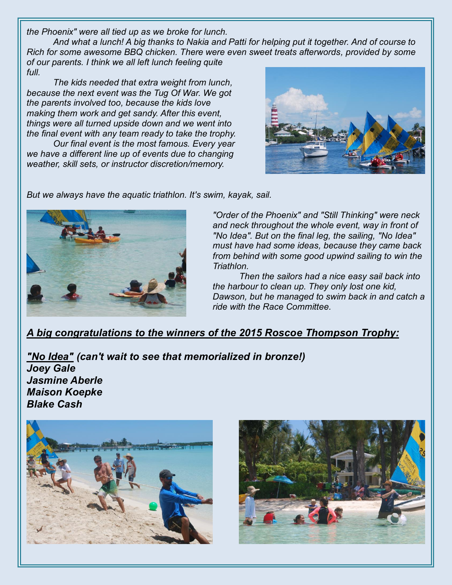*the Phoenix" were all tied up as we broke for lunch.*

*And what a lunch! A big thanks to Nakia and Patti for helping put it together. And of course to Rich for some awesome BBQ chicken. There were even sweet treats afterwords, provided by some of our parents. I think we all left lunch feeling quite full.*

*The kids needed that extra weight from lunch, because the next event was the Tug Of War. We got the parents involved too, because the kids love making them work and get sandy. After this event, things were all turned upside down and we went into the final event with any team ready to take the trophy.*

*Our final event is the most famous. Every year we have a different line up of events due to changing weather, skill sets, or instructor discretion/memory.*



*But we always have the aquatic triathlon. It's swim, kayak, sail.*



*"Order of the Phoenix" and "Still Thinking" were neck and neck throughout the whole event, way in front of "No Idea". But on the final leg, the sailing, "No Idea" must have had some ideas, because they came back from behind with some good upwind sailing to win the Triathlon.*

*Then the sailors had a nice easy sail back into the harbour to clean up. They only lost one kid, Dawson, but he managed to swim back in and catch a ride with the Race Committee.*

#### *A big congratulations to the winners of the 2015 Roscoe Thompson Trophy:*

*"No Idea" (can't wait to see that memorialized in bronze!) Joey Gale Jasmine Aberle Maison Koepke Blake Cash*